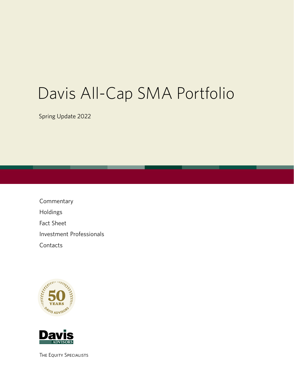# Davis All-Cap SMA Portfolio

Spring Update 2022

Commentary Holdings Fact Sheet Investment Professionals **Contacts** 





The Equity Specialists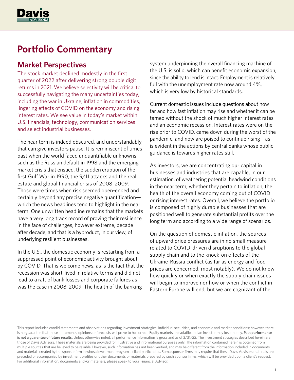

# **Portfolio Commentary**

### **Market Perspectives**

The stock market declined modestly in the first quarter of 2022 after delivering strong double digit returns in 2021. We believe selectivity will be critical to successfully navigating the many uncertainties today, including the war in Ukraine, inflation in commodities, lingering effects of COVID on the economy and rising interest rates. We see value in today's market within U.S. financials, technology, communication services and select industrial businesses.

The near term is indeed obscured, and understandably, that can give investors pause. It is reminiscent of times past when the world faced unquantifiable unknowns such as the Russian default in 1998 and the emerging market crisis that ensued, the sudden eruption of the first Gulf War in 1990, the 9/11 attacks and the real estate and global financial crisis of 2008–2009. Those were times when risk seemed open-ended and certainly beyond any precise negative quantification which the news headlines tend to highlight in the near term. One unwritten headline remains that the markets have a very long track record of proving their resilience in the face of challenges, however extreme, decade after decade, and that is a byproduct, in our view, of underlying resilient businesses.

In the U.S., the domestic economy is restarting from a suppressed point of economic activity brought about by COVID. That is welcome news, as is the fact that the recession was short-lived in relative terms and did not lead to a raft of bank losses and corporate failures as was the case in 2008–2009. The health of the banking

system underpinning the overall financing machine of the U.S. is solid, which can benefit economic expansion, since the ability to lend is intact. Employment is relatively full with the unemployment rate now around 4%, which is very low by historical standards.

Current domestic issues include questions about how far and how fast inflation may rise and whether it can be tamed without the shock of much higher interest rates and an economic recession. Interest rates were on the rise prior to COVID, came down during the worst of the pandemic, and now are poised to continue rising—as is evident in the actions by central banks whose public guidance is towards higher rates still.

As investors, we are concentrating our capital in businesses and industries that are capable, in our estimation, of weathering potential headwind conditions in the near term, whether they pertain to inflation, the health of the overall economy coming out of COVID or rising interest rates. Overall, we believe the portfolio is composed of highly durable businesses that are positioned well to generate substantial profits over the long term and according to a wide range of scenarios.

On the question of domestic inflation, the sources of upward price pressures are in no small measure related to COVID-driven disruptions to the global supply chain and to the knock-on effects of the Ukraine-Russia conflict (as far as energy and food prices are concerned, most notably). We do not know how quickly or when exactly the supply chain issues will begin to improve nor how or when the conflict in Eastern Europe will end, but we are cognizant of the

This report includes candid statements and observations regarding investment strategies, individual securities, and economic and market conditions; however, there is no guarantee that these statements, opinions or forecasts will prove to be correct. Equity markets are volatile and an investor may lose money. **Past performance**  is not a guarantee of future results. Unless otherwise noted, all performance information is gross and as of  $3/31/22$ . The investment strategies described herein are those of Davis Advisors. These materials are being provided for illustrative and informational purposes only. The information contained herein is obtained from multiple sources that are believed to be reliable. However, such information has not been verified, and may be different from the information included in documents and materials created by the sponsor firm in whose investment program a client participates. Some sponsor firms may require that these Davis Advisors materials are preceded or accompanied by investment profiles or other documents or materials prepared by such sponsor firms, which will be provided upon a client's request. For additional information, documents and/or materials, please speak to your Financial Advisor.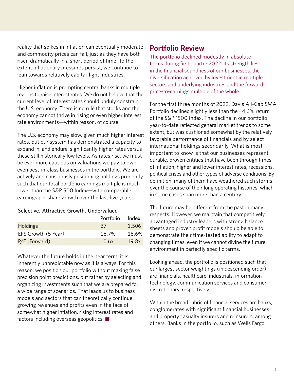reality that spikes in inflation can eventually moderate and commodity prices can fall, just as they have both risen dramatically in a short period of time. To the extent inflationary pressures persist, we continue to lean towards relatively capital-light industries.

Higher inflation is prompting central banks in multiple regions to raise interest rates. We do not believe that the current level of interest rates should unduly constrain the U.S. economy. There is no rule that stocks and the economy cannot thrive in rising or even higher interest rate environments—within reason, of course.

The U.S. economy may slow, given much higher interest rates, but our system has demonstrated a capacity to expand in, and endure, significantly higher rates versus these still historically low levels. As rates rise, we must be ever more cautious on valuations we pay to own even best-in-class businesses in the portfolio. We are actively and consciously positioning holdings prudently such that our total portfolio earnings multiple is much lower than the S&P 500 Index—with comparable earnings per share growth over the last five years.

#### Selective, Attractive Growth, Undervalued

|                     | Portfolio | Index |
|---------------------|-----------|-------|
| <b>Holdings</b>     | 37        | 1,506 |
| EPS Growth (5 Year) | 18.7%     | 18.6% |
| $P/E$ (Forward)     | 10.6x     | 19.8x |

Whatever the future holds in the near term, it is inherently unpredictable now as it is always. For this reason, we position our portfolio without making false precision point predictions, but rather by selecting and organizing investments such that we are prepared for a wide range of scenarios. That leads us to business models and sectors that can theoretically continue growing revenues and profits even in the face of somewhat higher inflation, rising interest rates and factors including overseas geopolitics.

### **Portfolio Review**

The portfolio declined modestly in absolute terms during first quarter 2022. Its strength lies in the financial soundness of our businesses, the diversification achieved by investment in multiple sectors and underlying industries and the forward price-to-earnings multiple of the whole.

For the first three months of 2022, Davis All-Cap SMA Portfolio declined slightly less than the −4.6% return of the S&P 1500 Index. The decline in our portfolio year-to-date reflected general market trends to some extent, but was cushioned somewhat by the relatively favorable performance of financials and by select international holdings secondarily. What is most important to know is that our businesses represent durable, proven entities that have been through times of inflation, higher and lower interest rates, recessions, political crises and other types of adverse conditions. By definition, many of them have weathered such storms over the course of their long operating histories, which in some cases span more than a century.

The future may be different from the past in many respects. However, we maintain that competitively advantaged industry leaders with strong balance sheets and proven profit models should be able to demonstrate their time-tested ability to adapt to changing times, even if we cannot divine the future environment in perfectly specific terms.

Looking ahead, the portfolio is positioned such that our largest sector weightings (in descending order) are financials, healthcare, industrials, information technology, communication services and consumer discretionary, respectively.

Within the broad rubric of financial services are banks, conglomerates with significant financial businesses and property casualty insurers and reinsurers, among others. Banks in the portfolio, such as Wells Fargo,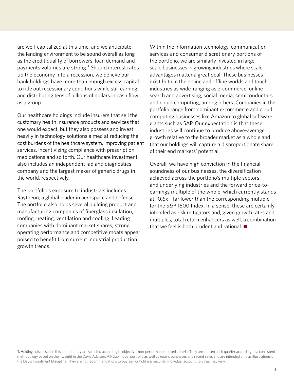are well-capitalized at this time, and we anticipate the lending environment to be sound overall as long as the credit quality of borrowers, loan demand and payments volumes are strong.<sup>1</sup> Should interest rates tip the economy into a recession, we believe our bank holdings have more than enough excess capital to ride out recessionary conditions while still earning and distributing tens of billions of dollars in cash flow as a group.

Our healthcare holdings include insurers that sell the customary health insurance products and services that one would expect, but they also possess and invest heavily in technology solutions aimed at reducing the cost burdens of the healthcare system, improving patient services, incentivizing compliance with prescription medications and so forth. Our healthcare investment also includes an independent lab and diagnostics company and the largest maker of generic drugs in the world, respectively.

The portfolio's exposure to industrials includes Raytheon, a global leader in aerospace and defense. The portfolio also holds several building product and manufacturing companies of fiberglass insulation, roofing, heating, ventilation and cooling. Leading companies with dominant market shares, strong operating performance and competitive moats appear poised to benefit from current industrial production growth trends.

Within the information technology, communication services and consumer discretionary portions of the portfolio, we are similarly invested in largescale businesses in growing industries where scale advantages matter a great deal. These businesses exist both in the online and offline worlds and touch industries as wide-ranging as e-commerce, online search and advertising, social media, semiconductors and cloud computing, among others. Companies in the portfolio range from dominant e-commerce and cloud computing businesses like Amazon to global software giants such as SAP. Our expectation is that these industries will continue to produce above-average growth relative to the broader market as a whole and that our holdings will capture a disproportionate share of their end markets' potential.

Overall, we have high conviction in the financial soundness of our businesses, the diversification achieved across the portfolio's multiple sectors and underlying industries and the forward price-toearnings multiple of the whole, which currently stands at 10.6x—far lower than the corresponding multiple for the S&P 1500 Index. In a sense, these are certainly intended as risk mitigators and, given growth rates and multiples, total return enhancers as well, a combination that we feel is both prudent and rational.  $\blacksquare$ 

**1.** Holdings discussed in this commentary are selected according to objective, non-performance-based criteria. They are chosen each quarter according to a consistent methodology based on their weight in the Davis Advisors All-Cap model portfolio as well as recent purchases and recent sales and are intended only as illustrations of the Davis Investment Discipline. They are not recommendations to buy, sell or hold any security. Individual account holdings may vary.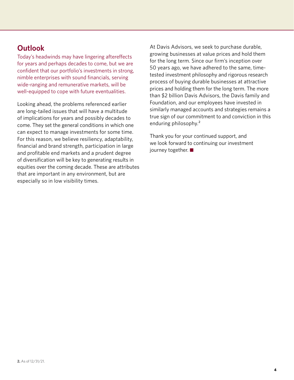### **Outlook**

Today's headwinds may have lingering aftereffects for years and perhaps decades to come, but we are confident that our portfolio's investments in strong, nimble enterprises with sound financials, serving wide-ranging and remunerative markets, will be well-equipped to cope with future eventualities.

Looking ahead, the problems referenced earlier are long-tailed issues that will have a multitude of implications for years and possibly decades to come. They set the general conditions in which one can expect to manage investments for some time. For this reason, we believe resiliency, adaptability, financial and brand strength, participation in large and profitable end markets and a prudent degree of diversification will be key to generating results in equities over the coming decade. These are attributes that are important in any environment, but are especially so in low visibility times.

At Davis Advisors, we seek to purchase durable, growing businesses at value prices and hold them for the long term. Since our firm's inception over 50 years ago, we have adhered to the same, timetested investment philosophy and rigorous research process of buying durable businesses at attractive prices and holding them for the long term. The more than \$2 billion Davis Advisors, the Davis family and Foundation, and our employees have invested in similarly managed accounts and strategies remains a true sign of our commitment to and conviction in this enduring philosophy.<sup>2</sup>

Thank you for your continued support, and we look forward to continuing our investment journey together.  $\blacksquare$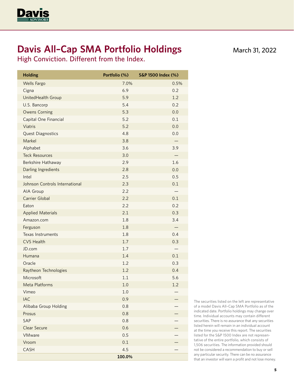

# **Davis All–Cap SMA Portfolio Holdings**

High Conviction. Different from the Index.

| <b>Holding</b>                 | Portfolio (%) | S&P 1500 Index (%) |
|--------------------------------|---------------|--------------------|
| <b>Wells Fargo</b>             | 7.0%          | 0.5%               |
| Cigna                          | 6.9           | 0.2                |
| UnitedHealth Group             | 5.9           | 1.2                |
| U.S. Bancorp                   | 5.4           | 0.2                |
| <b>Owens Corning</b>           | 5.3           | 0.0                |
| Capital One Financial          | 5.2           | 0.1                |
| Viatris                        | 5.2           | 0.0                |
| Quest Diagnostics              | 4.8           | 0.0                |
| Markel                         | 3.8           |                    |
| Alphabet                       | 3.6           | 3.9                |
| <b>Teck Resources</b>          | 3.0           |                    |
| <b>Berkshire Hathaway</b>      | 2.9           | 1.6                |
| Darling Ingredients            | 2.8           | 0.0                |
| Intel                          | 2.5           | 0.5                |
| Johnson Controls International | 2.3           | 0.1                |
| AIA Group                      | 2.2           |                    |
| <b>Carrier Global</b>          | 2.2           | 0.1                |
| Eaton                          | 2.2           | 0.2                |
| <b>Applied Materials</b>       | 2.1           | 0.3                |
| Amazon.com                     | 1.8           | 3.4                |
| Ferguson                       | 1.8           |                    |
| <b>Texas Instruments</b>       | 1.8           | 0.4                |
| <b>CVS Health</b>              | $1.7$         | 0.3                |
| JD.com                         | 1.7           |                    |
| Humana                         | 1.4           | 0.1                |
| Oracle                         | 1.2           | 0.3                |
| Raytheon Technologies          | 1.2           | 0.4                |
| Microsoft                      | 1.1           | 5.6                |
| <b>Meta Platforms</b>          | 1.0           | 1.2                |
| Vimeo                          | 1.0           |                    |
| <b>IAC</b>                     | 0.9           |                    |
| Alibaba Group Holding          | 0.8           |                    |
| Prosus                         | 0.8           |                    |
| SAP                            | 0.8           |                    |
| <b>Clear Secure</b>            | 0.6           |                    |
| VMware                         | 0.5           |                    |
| Vroom                          | 0.1           |                    |
| CASH                           | 4.5           |                    |
|                                | 100.0%        |                    |

March 31, 2022

The securities listed on the left are representative of a model Davis All–Cap SMA Portfolio as of the indicated date. Portfolio holdings may change over time. Individual accounts may contain different securities. There is no assurance that any securities listed herein will remain in an individual account at the time you receive this report. The securities listed for the S&P 1500 Index are not representative of the entire portfolio, which consists of 1,506 securities. The information provided should not be considered a recommendation to buy or sell any particular security. There can be no assurance that an investor will earn a profit and not lose money.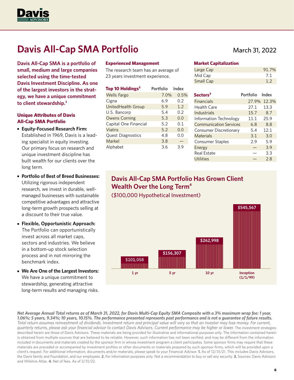

# **Davis All-Cap SMA Portfolio**

**Davis All-Cap SMA is a portfolio of small, medium and large companies selected using the time-tested Davis Investment Discipline. As one of the largest investors in the strategy, we have a unique commitment to client stewardship.1**

#### **Unique Attributes of Davis All-Cap SMA Portfolio**

- **Equity-Focused Research Firm:**  Established in 1969, Davis is a leading specialist in equity investing. Our primary focus on research and unique investment discipline has built wealth for our clients over the long term.
- **Portfolio of Best of Breed Businesses:** Utilizing rigorous independent research, we invest in durable, wellmanaged businesses with sustainable competitive advantages and attractive long-term growth prospects selling at a discount to their true value.
- **Flexible, Opportunistic Approach:**  The Portfolio can opportunistically invest across all market caps, sectors and industries. We believe in a bottom-up stock selection process and in not mirroring the benchmark index.
- **We Are One of the Largest Investors:** We have a unique commitment to stewardship, generating attractive long-term results and managing risks.

#### **Experienced Management**

The research team has an average of 23 years investment experience.

| Top 10 Holdings <sup>2</sup> | Portfolio | Index |
|------------------------------|-----------|-------|
| <b>Wells Fargo</b>           | 7.0%      | 0.5%  |
| Cigna                        | 6.9       | 0.2   |
| UnitedHealth Group           | 5.9       | 1.2   |
| U.S. Bancorp                 | 5.4       | 0.2   |
| <b>Owens Corning</b>         | 5.3       | 0.0   |
| Capital One Financial        | 5.2       | 0.1   |
| Viatris                      | 5.2       | 0.0   |
| <b>Quest Diagnostics</b>     | 4.8       | 0.0   |
| Markel                       | 3.8       |       |
| Alphabet                     | 3.6       | 3.9   |

### March 31, 2022

#### **Market Capitalization**

| Large Cap | 91.7% |
|-----------|-------|
| Mid Cap   | -7.1  |
| Small Cap | 1.2   |

| Sectors <sup>3</sup>          | Portfolio | Index |
|-------------------------------|-----------|-------|
| <b>Financials</b>             | 27.9%     | 12.3% |
| Health Care                   | 27.1      | 13.3  |
| Industrials                   | 15.7      | 8.7   |
| Information Technology        | 11.1      | 25.9  |
| <b>Communication Services</b> | 6.8       | 8.8   |
| Consumer Discretionary        | 5.4       | 12.1  |
| Materials                     | 3.1       | 3.0   |
| <b>Consumer Staples</b>       | 2.9       | 5.9   |
| Energy                        |           | 3.9   |
| <b>Real Estate</b>            |           | 3.3   |
| Utilities                     |           | 28    |

### **Davis All-Cap SMA Portfolio Has Grown Client Wealth Over the Long Term4** (\$100,000 Hypothetical Investment)



*Net Average Annual Total returns as of March 31, 2022, for Davis Multi-Cap Equity SMA Composite with a 3% maximum wrap fee: 1 year, 1.06%; 5 years, 9.34%; 10 years, 10.15%. The performance presented represents past performance and is not a guarantee of future results. Total return assumes reinvestment of dividends. Investment return and principal value will vary so that an investor may lose money. For current, quarterly returns, please ask your financial advisor to contact Davis Advisors. Current performance may be higher or lower.* The investment strategies described herein are those of Davis Advisors. These materials are being provided for illustrative and informational purposes only. The information contained herein is obtained from multiple sources that are believed to be reliable. However, such information has not been verified, and may be different from the information included in documents and materials created by the sponsor firm in whose investment program a client participates. Some sponsor firms may require that these materials are preceded or accompanied by investment profiles or other documents or materials prepared by such sponsor firms, which will be provided upon a client's request. For additional information, documents and/or materials, please speak to your Financial Advisor. **1.** As of 12/31/21. This includes Davis Advisors, the Davis family and Foundation, and our employees. **2.** For information purposes only. Not a recommendation to buy or sell any security. **3.** Sources: Davis Advisors and Wilshire Atlas. **4.** Net of fees. As of 3/31/22.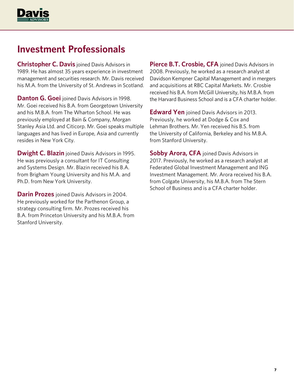

## **Investment Professionals**

**Christopher C. Davis** joined Davis Advisors in 1989. He has almost 35 years experience in investment management and securities research. Mr. Davis received his M.A. from the University of St. Andrews in Scotland.

**Danton G. Goei** joined Davis Advisors in 1998. Mr. Goei received his B.A. from Georgetown University and his M.B.A. from The Wharton School. He was previously employed at Bain & Company, Morgan Stanley Asia Ltd. and Citicorp. Mr. Goei speaks multiple languages and has lived in Europe, Asia and currently resides in New York City.

**Dwight C. Blazin** joined Davis Advisors in 1995. He was previously a consultant for IT Consulting and Systems Design. Mr. Blazin received his B.A. from Brigham Young University and his M.A. and Ph.D. from New York University.

**Darin Prozes** joined Davis Advisors in 2004. He previously worked for the Parthenon Group, a strategy consulting firm. Mr. Prozes received his B.A. from Princeton University and his M.B.A. from Stanford University.

**Pierce B.T. Crosbie, CFA** joined Davis Advisors in 2008. Previously, he worked as a research analyst at Davidson Kempner Capital Management and in mergers and acquisitions at RBC Capital Markets. Mr. Crosbie received his B.A. from McGill University, his M.B.A. from the Harvard Business School and is a CFA charter holder.

**Edward Yen** joined Davis Advisors in 2013. Previously, he worked at Dodge & Cox and Lehman Brothers. Mr. Yen received his B.S. from the University of California, Berkeley and his M.B.A. from Stanford University.

**Sobby Arora, CFA** joined Davis Advisors in 2017. Previously, he worked as a research analyst at Federated Global Investment Management and ING Investment Management. Mr. Arora received his B.A. from Colgate University, his M.B.A. from The Stern School of Business and is a CFA charter holder.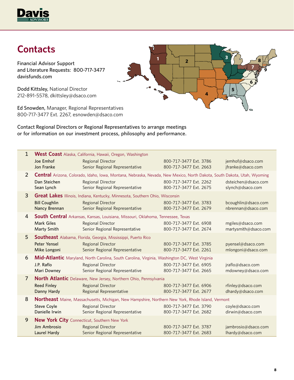

# **Contacts**

Financial Advisor Support and Literature Requests: 800-717-3477 davisfunds.com

Dodd Kittsley, National Director 212-891-5578, dkittsley@dsaco.com

Ed Snowden, Manager, Regional Representatives 800-717-3477 Ext. 2267, esnowden@dsaco.com

Contact Regional Directors or Regional Representatives to arrange meetings or for information on our investment process, philosophy and performance.

| $\mathbf{1}$   | Joe Emhof<br>Jon Franke               | <b>West Coast</b> Alaska, California, Hawaii, Oregon, Washington<br><b>Regional Director</b><br>Senior Regional Representative                                                  | 800-717-3477 Ext. 3786<br>800-717-3477 Ext. 2663 | jemhof@dsaco.com<br>jfranke@dsaco.com     |
|----------------|---------------------------------------|---------------------------------------------------------------------------------------------------------------------------------------------------------------------------------|--------------------------------------------------|-------------------------------------------|
| 2              | Dan Steichen<br>Sean Lynch            | Central Arizona, Colorado, Idaho, Iowa, Montana, Nebraska, Nevada, New Mexico, North Dakota, South Dakota, Utah, Wyoming<br>Regional Director<br>Senior Regional Representative | 800-717-3477 Ext. 2262<br>800-717-3477 Ext. 2675 | dsteichen@dsaco.com<br>slynch@dsaco.com   |
| 3              | <b>Bill Coughlin</b><br>Nancy Brennan | Great Lakes Illinois, Indiana, Kentucky, Minnesota, Southern Ohio, Wisconsin<br><b>Regional Director</b><br>Senior Regional Representative                                      | 800-717-3477 Ext. 3783<br>800-717-3477 Ext. 2679 | bcoughlin@dsaco.com<br>nbrennan@dsaco.com |
| 4              | <b>Mark Giles</b><br>Marty Smith      | South Central Arkansas, Kansas, Louisiana, Missouri, Oklahoma, Tennessee, Texas<br><b>Regional Director</b><br>Senior Regional Representative                                   | 800-717-3477 Ext. 6908<br>800-717-3477 Ext. 2674 | mgiles@dsaco.com<br>martysmith@dsaco.com  |
| 5              | <b>Peter Yensel</b><br>Mike Longoni   | Southeast Alabama, Florida, Georgia, Mississippi, Puerto Rico<br><b>Regional Director</b><br>Senior Regional Representative                                                     | 800-717-3477 Ext. 3785<br>800-717-3477 Ext. 2261 | pyensel@dsaco.com<br>mlongoni@dsaco.com   |
| 6              | J.P. Raflo<br>Mari Downey             | Mid-Atlantic Maryland, North Carolina, South Carolina, Virginia, Washington DC, West Virginia<br><b>Regional Director</b><br>Senior Regional Representative                     | 800-717-3477 Ext. 6905<br>800-717-3477 Ext. 2665 | jraflo@dsaco.com<br>mdowney@dsaco.com     |
| $\overline{7}$ | <b>Reed Finley</b><br>Danny Hardy     | North Atlantic Delaware, New Jersey, Northern Ohio, Pennsylvania<br><b>Regional Director</b><br>Regional Representative                                                         | 800-717-3477 Ext. 6906<br>800-717-3477 Ext. 2677 | rfinley@dsaco.com<br>dhardy@dsaco.com     |
| 8              | <b>Steve Coyle</b><br>Danielle Irwin  | Northeast Maine, Massachusetts, Michigan, New Hampshire, Northern New York, Rhode Island, Vermont<br><b>Regional Director</b><br>Senior Regional Representative                 | 800-717-3477 Ext. 3790<br>800-717-3477 Ext. 2682 | coyle@dsaco.com<br>dirwin@dsaco.com       |
| 9              | Jim Ambrosio<br><b>Laurel Hardy</b>   | <b>New York City</b> Connecticut, Southern New York<br><b>Regional Director</b><br>Senior Regional Representative                                                               | 800-717-3477 Ext. 3787<br>800-717-3477 Ext. 2683 | jambrosio@dsaco.com<br>lhardy@dsaco.com   |